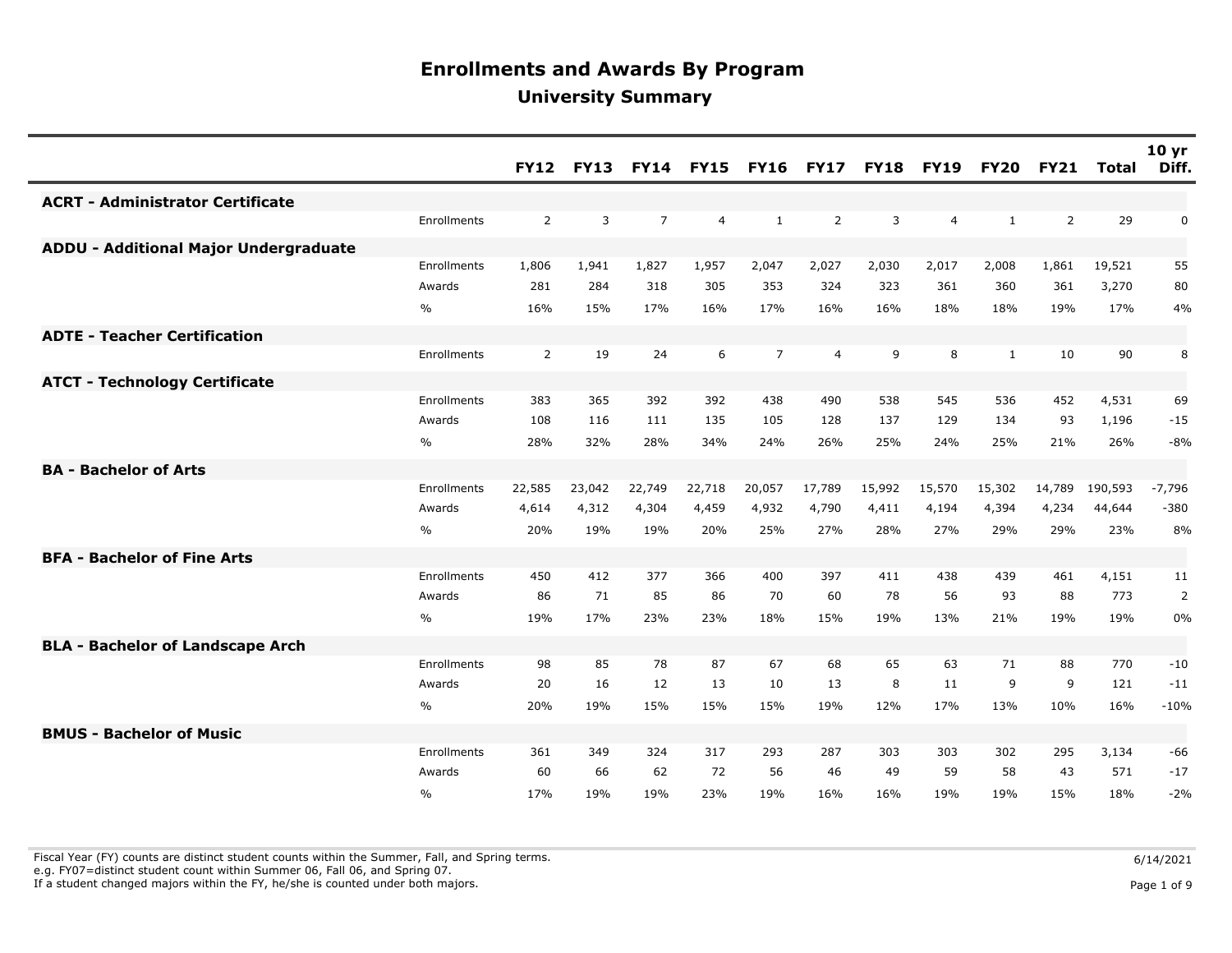|                                              |               | <b>FY12</b>    | <b>FY13</b>  |                |                |                | FY14 FY15 FY16 FY17 | <b>FY18</b> | <b>FY19</b>    | <b>FY20</b>  | <b>FY21</b>    | <b>Total</b> | 10 <sub>yr</sub><br>Diff. |
|----------------------------------------------|---------------|----------------|--------------|----------------|----------------|----------------|---------------------|-------------|----------------|--------------|----------------|--------------|---------------------------|
| <b>ACRT - Administrator Certificate</b>      |               |                |              |                |                |                |                     |             |                |              |                |              |                           |
|                                              | Enrollments   | 2              | $\mathbf{3}$ | $\overline{7}$ | $\overline{4}$ | $\mathbf{1}$   | $\overline{2}$      | 3           | $\overline{4}$ | $\mathbf{1}$ | $\overline{2}$ | 29           | 0                         |
| <b>ADDU - Additional Major Undergraduate</b> |               |                |              |                |                |                |                     |             |                |              |                |              |                           |
|                                              | Enrollments   | 1,806          | 1,941        | 1,827          | 1,957          | 2,047          | 2,027               | 2,030       | 2,017          | 2,008        | 1,861          | 19,521       | 55                        |
|                                              | Awards        | 281            | 284          | 318            | 305            | 353            | 324                 | 323         | 361            | 360          | 361            | 3,270        | 80                        |
|                                              | $\frac{0}{0}$ | 16%            | 15%          | 17%            | 16%            | 17%            | 16%                 | 16%         | 18%            | 18%          | 19%            | 17%          | 4%                        |
| <b>ADTE - Teacher Certification</b>          |               |                |              |                |                |                |                     |             |                |              |                |              |                           |
|                                              | Enrollments   | $\overline{2}$ | 19           | 24             | 6              | $\overline{7}$ | $\overline{4}$      | 9           | 8              | 1            | 10             | 90           | 8                         |
| <b>ATCT - Technology Certificate</b>         |               |                |              |                |                |                |                     |             |                |              |                |              |                           |
|                                              | Enrollments   | 383            | 365          | 392            | 392            | 438            | 490                 | 538         | 545            | 536          | 452            | 4,531        | 69                        |
|                                              | Awards        | 108            | 116          | 111            | 135            | 105            | 128                 | 137         | 129            | 134          | 93             | 1,196        | $-15$                     |
|                                              | %             | 28%            | 32%          | 28%            | 34%            | 24%            | 26%                 | 25%         | 24%            | 25%          | 21%            | 26%          | $-8%$                     |
| <b>BA - Bachelor of Arts</b>                 |               |                |              |                |                |                |                     |             |                |              |                |              |                           |
|                                              | Enrollments   | 22,585         | 23,042       | 22,749         | 22,718         | 20,057         | 17,789              | 15,992      | 15,570         | 15,302       | 14,789         | 190,593      | $-7,796$                  |
|                                              | Awards        | 4,614          | 4,312        | 4,304          | 4,459          | 4,932          | 4,790               | 4,411       | 4,194          | 4,394        | 4,234          | 44,644       | $-380$                    |
|                                              | $\%$          | 20%            | 19%          | 19%            | 20%            | 25%            | 27%                 | 28%         | 27%            | 29%          | 29%            | 23%          | 8%                        |
| <b>BFA - Bachelor of Fine Arts</b>           |               |                |              |                |                |                |                     |             |                |              |                |              |                           |
|                                              | Enrollments   | 450            | 412          | 377            | 366            | 400            | 397                 | 411         | 438            | 439          | 461            | 4,151        | 11                        |
|                                              | Awards        | 86             | 71           | 85             | 86             | 70             | 60                  | 78          | 56             | 93           | 88             | 773          | $\overline{2}$            |
|                                              | $\%$          | 19%            | 17%          | 23%            | 23%            | 18%            | 15%                 | 19%         | 13%            | 21%          | 19%            | 19%          | 0%                        |
| <b>BLA - Bachelor of Landscape Arch</b>      |               |                |              |                |                |                |                     |             |                |              |                |              |                           |
|                                              | Enrollments   | 98             | 85           | 78             | 87             | 67             | 68                  | 65          | 63             | 71           | 88             | 770          | $-10$                     |
|                                              | Awards        | 20             | 16           | 12             | 13             | 10             | 13                  | 8           | 11             | 9            | 9              | 121          | $-11$                     |
|                                              | $\%$          | 20%            | 19%          | 15%            | 15%            | 15%            | 19%                 | 12%         | 17%            | 13%          | 10%            | 16%          | $-10%$                    |
| <b>BMUS - Bachelor of Music</b>              |               |                |              |                |                |                |                     |             |                |              |                |              |                           |
|                                              | Enrollments   | 361            | 349          | 324            | 317            | 293            | 287                 | 303         | 303            | 302          | 295            | 3,134        | -66                       |
|                                              | Awards        | 60             | 66           | 62             | 72             | 56             | 46                  | 49          | 59             | 58           | 43             | 571          | $-17$                     |
|                                              | $\%$          | 17%            | 19%          | 19%            | 23%            | 19%            | 16%                 | 16%         | 19%            | 19%          | 15%            | 18%          | $-2%$                     |

Fiscal Year (FY) counts are distinct student counts within the Summer, Fall, and Spring terms.  $6/14/2021$ 

e.g. FY07=distinct student count within Summer 06, Fall 06, and Spring 07.

If a student changed majors within the FY, he/she is counted under both majors. Page 1 of 9

Page 1 of 9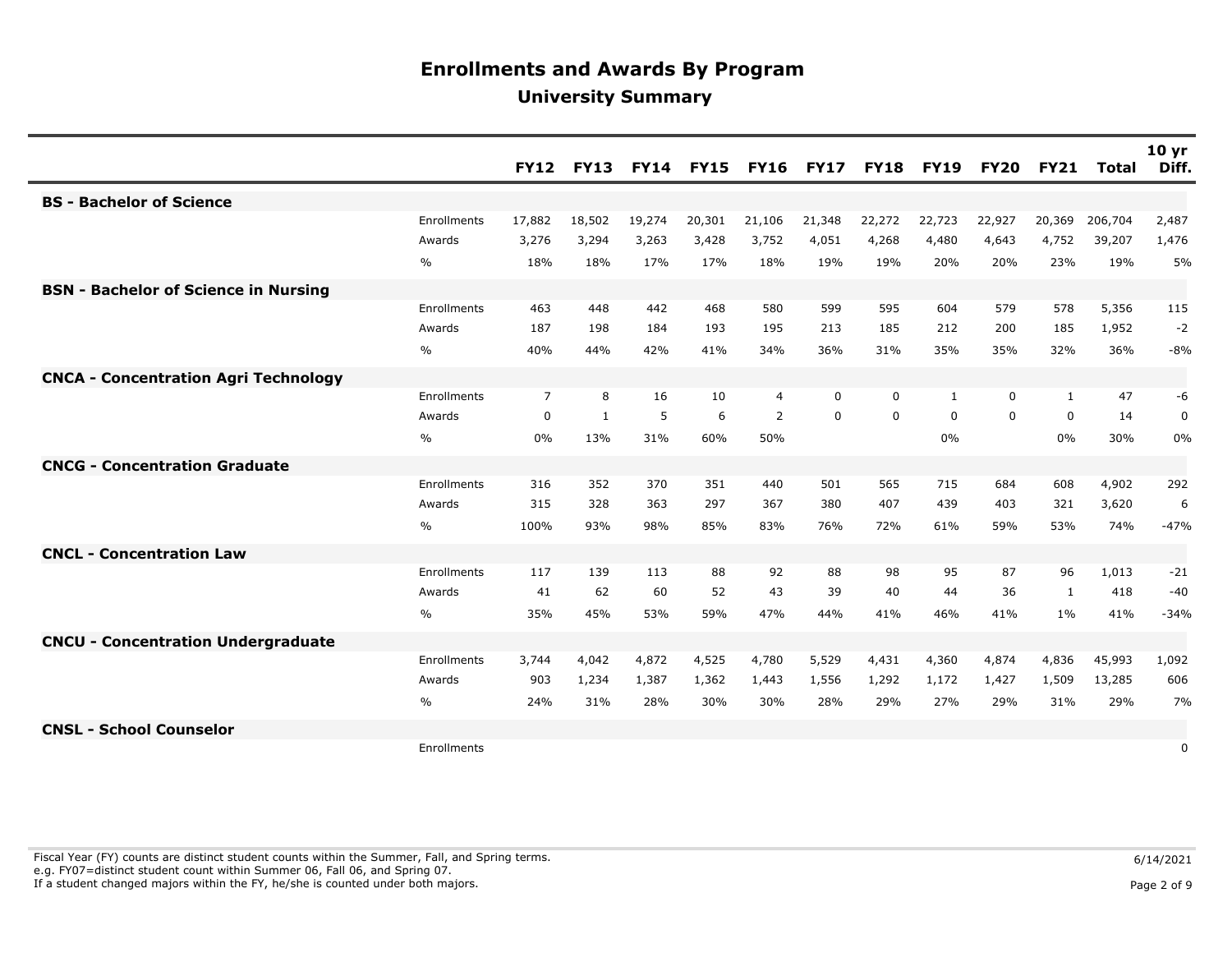|                                             |               | <b>FY12</b>    | <b>FY13</b> |        | <b>FY14 FY15</b> | <b>FY16</b> | <b>FY17</b> | <b>FY18</b> | <b>FY19</b> | <b>FY20</b> | <b>FY21</b>  | <b>Total</b> | 10 <sub>yr</sub><br>Diff. |
|---------------------------------------------|---------------|----------------|-------------|--------|------------------|-------------|-------------|-------------|-------------|-------------|--------------|--------------|---------------------------|
| <b>BS - Bachelor of Science</b>             |               |                |             |        |                  |             |             |             |             |             |              |              |                           |
|                                             | Enrollments   | 17,882         | 18,502      | 19,274 | 20,301           | 21,106      | 21,348      | 22,272      | 22,723      | 22,927      | 20,369       | 206,704      | 2,487                     |
|                                             | Awards        | 3,276          | 3,294       | 3,263  | 3,428            | 3,752       | 4,051       | 4,268       | 4,480       | 4,643       | 4,752        | 39,207       | 1,476                     |
|                                             | $\frac{0}{0}$ | 18%            | 18%         | 17%    | 17%              | 18%         | 19%         | 19%         | 20%         | 20%         | 23%          | 19%          | 5%                        |
| <b>BSN - Bachelor of Science in Nursing</b> |               |                |             |        |                  |             |             |             |             |             |              |              |                           |
|                                             | Enrollments   | 463            | 448         | 442    | 468              | 580         | 599         | 595         | 604         | 579         | 578          | 5,356        | 115                       |
|                                             | Awards        | 187            | 198         | 184    | 193              | 195         | 213         | 185         | 212         | 200         | 185          | 1,952        | $-2$                      |
|                                             | %             | 40%            | 44%         | 42%    | 41%              | 34%         | 36%         | 31%         | 35%         | 35%         | 32%          | 36%          | $-8%$                     |
| <b>CNCA - Concentration Agri Technology</b> |               |                |             |        |                  |             |             |             |             |             |              |              |                           |
|                                             | Enrollments   | $\overline{7}$ | 8           | 16     | 10               | 4           | $\Omega$    | 0           | 1           | 0           | 1            | 47           | -6                        |
|                                             | Awards        | 0              | 1           | 5      | 6                | 2           | 0           | 0           | $\Omega$    | 0           | $\mathbf{0}$ | 14           | 0                         |
|                                             | %             | 0%             | 13%         | 31%    | 60%              | 50%         |             |             | 0%          |             | 0%           | 30%          | 0%                        |
| <b>CNCG - Concentration Graduate</b>        |               |                |             |        |                  |             |             |             |             |             |              |              |                           |
|                                             | Enrollments   | 316            | 352         | 370    | 351              | 440         | 501         | 565         | 715         | 684         | 608          | 4,902        | 292                       |
|                                             | Awards        | 315            | 328         | 363    | 297              | 367         | 380         | 407         | 439         | 403         | 321          | 3,620        | 6                         |
|                                             | $\frac{0}{0}$ | 100%           | 93%         | 98%    | 85%              | 83%         | 76%         | 72%         | 61%         | 59%         | 53%          | 74%          | $-47%$                    |
| <b>CNCL - Concentration Law</b>             |               |                |             |        |                  |             |             |             |             |             |              |              |                           |
|                                             | Enrollments   | 117            | 139         | 113    | 88               | 92          | 88          | 98          | 95          | 87          | 96           | 1,013        | $-21$                     |
|                                             | Awards        | 41             | 62          | 60     | 52               | 43          | 39          | 40          | 44          | 36          | $\mathbf{1}$ | 418          | $-40$                     |
|                                             | %             | 35%            | 45%         | 53%    | 59%              | 47%         | 44%         | 41%         | 46%         | 41%         | 1%           | 41%          | $-34%$                    |
| <b>CNCU - Concentration Undergraduate</b>   |               |                |             |        |                  |             |             |             |             |             |              |              |                           |
|                                             | Enrollments   | 3,744          | 4,042       | 4,872  | 4,525            | 4,780       | 5,529       | 4,431       | 4,360       | 4,874       | 4,836        | 45,993       | 1,092                     |
|                                             | Awards        | 903            | 1,234       | 1,387  | 1,362            | 1,443       | 1,556       | 1,292       | 1,172       | 1,427       | 1,509        | 13,285       | 606                       |
|                                             | $\frac{0}{0}$ | 24%            | 31%         | 28%    | 30%              | 30%         | 28%         | 29%         | 27%         | 29%         | 31%          | 29%          | 7%                        |
| <b>CNSL - School Counselor</b>              |               |                |             |        |                  |             |             |             |             |             |              |              |                           |
|                                             | Enrollments   |                |             |        |                  |             |             |             |             |             |              |              | 0                         |

Fiscal Year (FY) counts are distinct student counts within the Summer, Fall, and Spring terms.  $6/14/2021$  e.g. FY07=distinct student count within Summer 06, Fall 06, and Spring 07. If a student changed majors within the FY, he/she is counted under both majors. Page 2 of 9 and the student student changed majors within the FY, he/she is counted under both majors.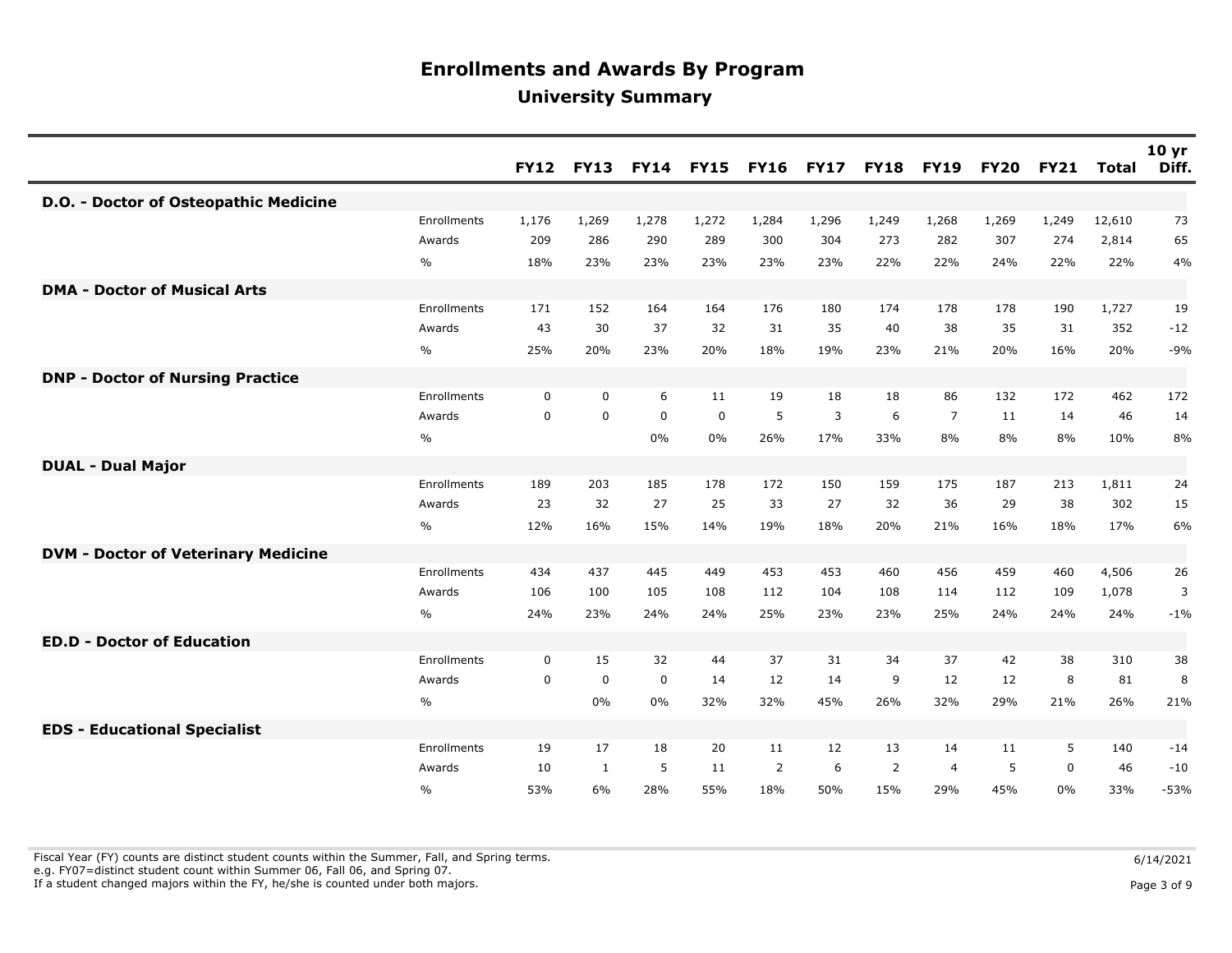|                                            |               | <b>FY12</b> | <b>FY13</b>  |             | <b>FY14 FY15</b> | <b>FY16</b> | <b>FY17</b> | <b>FY18</b> | <b>FY19</b>    | <b>FY20</b> | <b>FY21</b> | <b>Total</b> | 10 <sub>yr</sub><br>Diff. |
|--------------------------------------------|---------------|-------------|--------------|-------------|------------------|-------------|-------------|-------------|----------------|-------------|-------------|--------------|---------------------------|
| D.O. - Doctor of Osteopathic Medicine      |               |             |              |             |                  |             |             |             |                |             |             |              |                           |
|                                            | Enrollments   | 1,176       | 1,269        | 1,278       | 1,272            | 1,284       | 1,296       | 1,249       | 1,268          | 1,269       | 1,249       | 12,610       | 73                        |
|                                            | Awards        | 209         | 286          | 290         | 289              | 300         | 304         | 273         | 282            | 307         | 274         | 2,814        | 65                        |
|                                            | $\frac{0}{0}$ | 18%         | 23%          | 23%         | 23%              | 23%         | 23%         | 22%         | 22%            | 24%         | 22%         | 22%          | 4%                        |
| <b>DMA - Doctor of Musical Arts</b>        |               |             |              |             |                  |             |             |             |                |             |             |              |                           |
|                                            | Enrollments   | 171         | 152          | 164         | 164              | 176         | 180         | 174         | 178            | 178         | 190         | 1,727        | 19                        |
|                                            | Awards        | 43          | 30           | 37          | 32               | 31          | 35          | 40          | 38             | 35          | 31          | 352          | $-12$                     |
|                                            | $\frac{0}{0}$ | 25%         | 20%          | 23%         | 20%              | 18%         | 19%         | 23%         | 21%            | 20%         | 16%         | 20%          | $-9%$                     |
| <b>DNP - Doctor of Nursing Practice</b>    |               |             |              |             |                  |             |             |             |                |             |             |              |                           |
|                                            | Enrollments   | $\mathbf 0$ | $\mathbf 0$  | 6           | 11               | 19          | 18          | 18          | 86             | 132         | 172         | 462          | 172                       |
|                                            | Awards        | 0           | $\mathbf 0$  | $\mathbf 0$ | $\mathbf 0$      | 5           | 3           | 6           | $\overline{7}$ | 11          | 14          | 46           | 14                        |
|                                            | $\frac{0}{0}$ |             |              | 0%          | 0%               | 26%         | 17%         | 33%         | 8%             | 8%          | 8%          | 10%          | 8%                        |
| <b>DUAL - Dual Major</b>                   |               |             |              |             |                  |             |             |             |                |             |             |              |                           |
|                                            | Enrollments   | 189         | 203          | 185         | 178              | 172         | 150         | 159         | 175            | 187         | 213         | 1,811        | 24                        |
|                                            | Awards        | 23          | 32           | 27          | 25               | 33          | 27          | 32          | 36             | 29          | 38          | 302          | 15                        |
|                                            | $\%$          | 12%         | 16%          | 15%         | 14%              | 19%         | 18%         | 20%         | 21%            | 16%         | 18%         | 17%          | 6%                        |
| <b>DVM - Doctor of Veterinary Medicine</b> |               |             |              |             |                  |             |             |             |                |             |             |              |                           |
|                                            | Enrollments   | 434         | 437          | 445         | 449              | 453         | 453         | 460         | 456            | 459         | 460         | 4,506        | 26                        |
|                                            | Awards        | 106         | 100          | 105         | 108              | 112         | 104         | 108         | 114            | 112         | 109         | 1,078        | 3                         |
|                                            | $\frac{0}{0}$ | 24%         | 23%          | 24%         | 24%              | 25%         | 23%         | 23%         | 25%            | 24%         | 24%         | 24%          | $-1%$                     |
| <b>ED.D - Doctor of Education</b>          |               |             |              |             |                  |             |             |             |                |             |             |              |                           |
|                                            | Enrollments   | $\mathbf 0$ | 15           | 32          | 44               | 37          | 31          | 34          | 37             | 42          | 38          | 310          | 38                        |
|                                            | Awards        | $\mathbf 0$ | $\mathbf 0$  | $\mathbf 0$ | 14               | 12          | 14          | 9           | 12             | 12          | 8           | 81           | 8                         |
|                                            | $\frac{0}{0}$ |             | 0%           | 0%          | 32%              | 32%         | 45%         | 26%         | 32%            | 29%         | 21%         | 26%          | 21%                       |
| <b>EDS - Educational Specialist</b>        |               |             |              |             |                  |             |             |             |                |             |             |              |                           |
|                                            | Enrollments   | 19          | 17           | 18          | 20               | 11          | 12          | 13          | 14             | 11          | 5           | 140          | $-14$                     |
|                                            | Awards        | 10          | $\mathbf{1}$ | 5           | 11               | 2           | 6           | 2           | $\overline{4}$ | 5           | $\Omega$    | 46           | $-10$                     |
|                                            | $\frac{0}{0}$ | 53%         | 6%           | 28%         | 55%              | 18%         | 50%         | 15%         | 29%            | 45%         | 0%          | 33%          | $-53%$                    |

Fiscal Year (FY) counts are distinct student counts within the Summer, Fall, and Spring terms.  $6/14/2021$ e.g. FY07=distinct student count within Summer 06, Fall 06, and Spring 07.

If a student changed majors within the FY, he/she is counted under both majors. Page 3 of 9 and the student student changed majors within the FY, he/she is counted under both majors.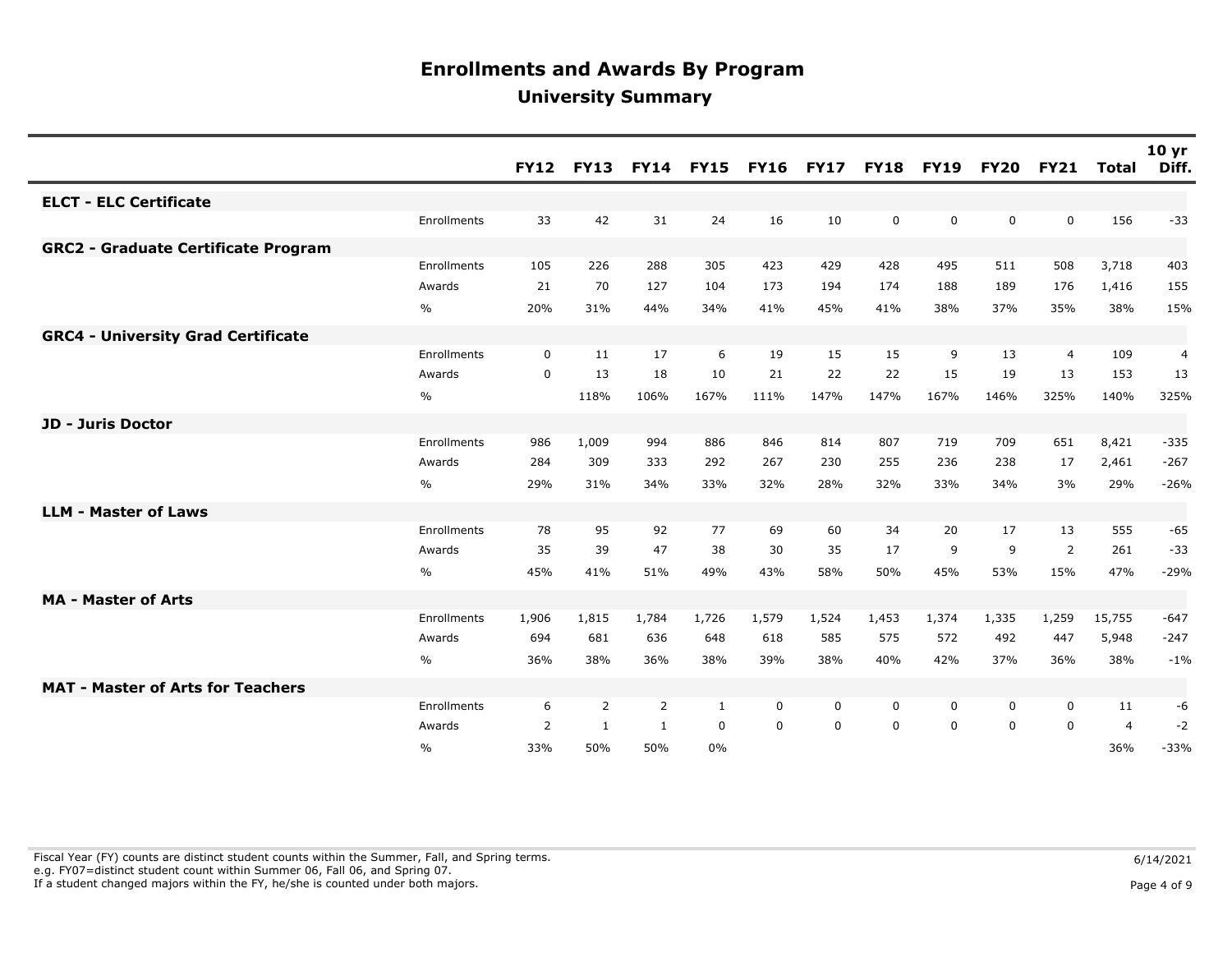|                                            |             | <b>FY12</b> | <b>FY13</b>    | <b>FY14</b>    | <b>FY15</b> | <b>FY16</b> | <b>FY17</b> | <b>FY18</b> | <b>FY19</b> | <b>FY20</b> | <b>FY21</b>    | <b>Total</b>   | 10 <sub>yr</sub><br>Diff. |
|--------------------------------------------|-------------|-------------|----------------|----------------|-------------|-------------|-------------|-------------|-------------|-------------|----------------|----------------|---------------------------|
| <b>ELCT - ELC Certificate</b>              |             |             |                |                |             |             |             |             |             |             |                |                |                           |
|                                            | Enrollments | 33          | 42             | 31             | 24          | 16          | 10          | 0           | $\mathbf 0$ | 0           | $\mathbf 0$    | 156            | $-33$                     |
| <b>GRC2 - Graduate Certificate Program</b> |             |             |                |                |             |             |             |             |             |             |                |                |                           |
|                                            | Enrollments | 105         | 226            | 288            | 305         | 423         | 429         | 428         | 495         | 511         | 508            | 3,718          | 403                       |
|                                            | Awards      | 21          | 70             | 127            | 104         | 173         | 194         | 174         | 188         | 189         | 176            | 1,416          | 155                       |
|                                            | $\%$        | 20%         | 31%            | 44%            | 34%         | 41%         | 45%         | 41%         | 38%         | 37%         | 35%            | 38%            | 15%                       |
| <b>GRC4 - University Grad Certificate</b>  |             |             |                |                |             |             |             |             |             |             |                |                |                           |
|                                            | Enrollments | $\mathbf 0$ | 11             | 17             | 6           | 19          | 15          | 15          | 9           | 13          | $\overline{4}$ | 109            | 4                         |
|                                            | Awards      | $\mathbf 0$ | 13             | 18             | 10          | 21          | 22          | 22          | 15          | 19          | 13             | 153            | 13                        |
|                                            | $\%$        |             | 118%           | 106%           | 167%        | 111%        | 147%        | 147%        | 167%        | 146%        | 325%           | 140%           | 325%                      |
| <b>JD - Juris Doctor</b>                   |             |             |                |                |             |             |             |             |             |             |                |                |                           |
|                                            | Enrollments | 986         | 1,009          | 994            | 886         | 846         | 814         | 807         | 719         | 709         | 651            | 8,421          | $-335$                    |
|                                            | Awards      | 284         | 309            | 333            | 292         | 267         | 230         | 255         | 236         | 238         | 17             | 2,461          | $-267$                    |
|                                            | $\%$        | 29%         | 31%            | 34%            | 33%         | 32%         | 28%         | 32%         | 33%         | 34%         | 3%             | 29%            | $-26%$                    |
| <b>LLM - Master of Laws</b>                |             |             |                |                |             |             |             |             |             |             |                |                |                           |
|                                            | Enrollments | 78          | 95             | 92             | 77          | 69          | 60          | 34          | 20          | 17          | 13             | 555            | $-65$                     |
|                                            | Awards      | 35          | 39             | 47             | 38          | 30          | 35          | 17          | 9           | 9           | 2              | 261            | $-33$                     |
|                                            | $\%$        | 45%         | 41%            | 51%            | 49%         | 43%         | 58%         | 50%         | 45%         | 53%         | 15%            | 47%            | $-29%$                    |
| <b>MA - Master of Arts</b>                 |             |             |                |                |             |             |             |             |             |             |                |                |                           |
|                                            | Enrollments | 1,906       | 1,815          | 1,784          | 1,726       | 1,579       | 1,524       | 1,453       | 1,374       | 1,335       | 1,259          | 15,755         | $-647$                    |
|                                            | Awards      | 694         | 681            | 636            | 648         | 618         | 585         | 575         | 572         | 492         | 447            | 5,948          | $-247$                    |
|                                            | $\%$        | 36%         | 38%            | 36%            | 38%         | 39%         | 38%         | 40%         | 42%         | 37%         | 36%            | 38%            | $-1%$                     |
| <b>MAT - Master of Arts for Teachers</b>   |             |             |                |                |             |             |             |             |             |             |                |                |                           |
|                                            | Enrollments | 6           | $\overline{2}$ | $\overline{2}$ | 1           | 0           | 0           | 0           | 0           | $\mathbf 0$ | $\mathbf 0$    | 11             | -6                        |
|                                            | Awards      | 2           | 1              | 1              | $\mathbf 0$ | 0           | $\mathbf 0$ | 0           | $\mathbf 0$ | $\mathbf 0$ | $\Omega$       | $\overline{4}$ | $-2$                      |
|                                            | $\%$        | 33%         | 50%            | 50%            | 0%          |             |             |             |             |             |                | 36%            | $-33%$                    |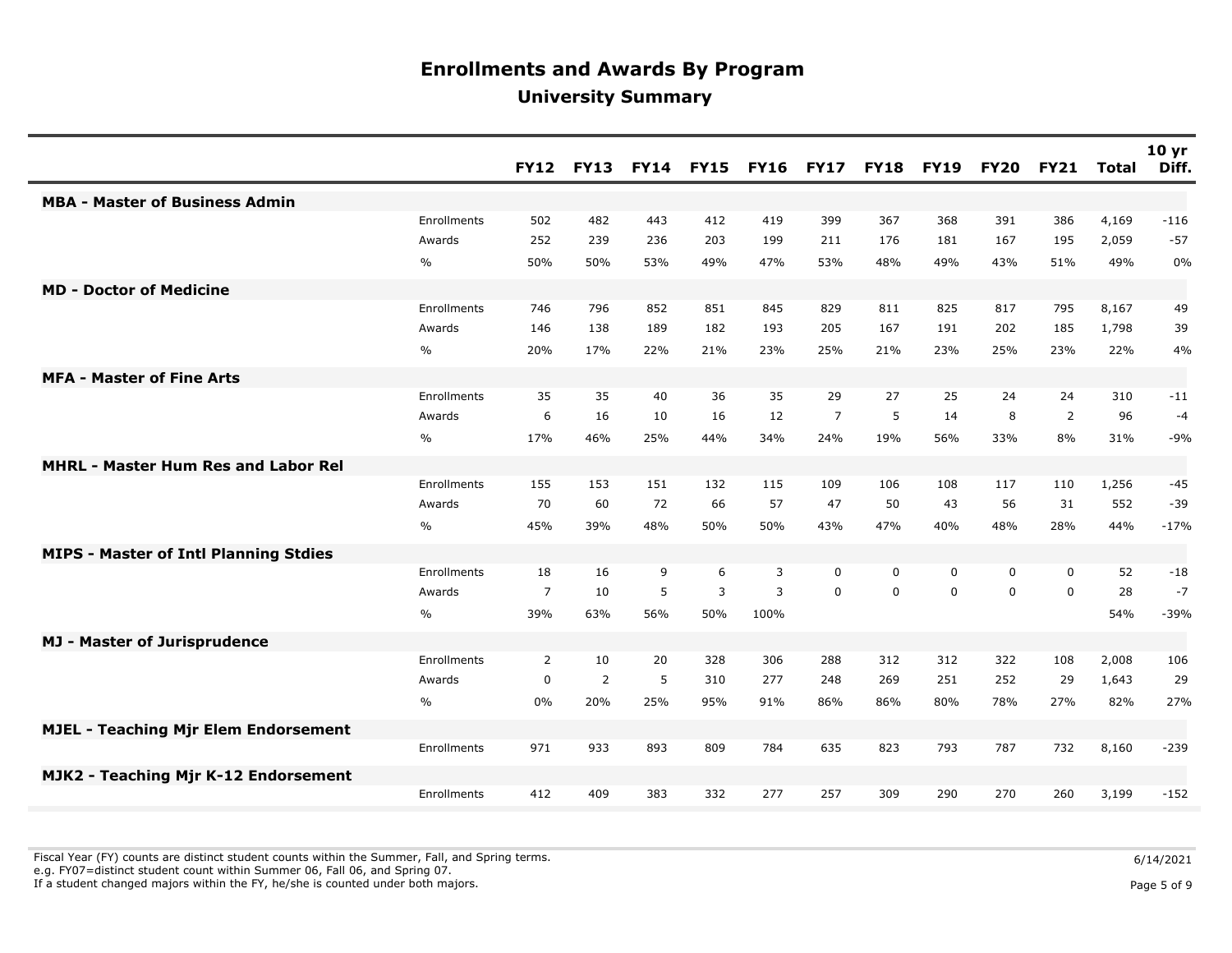|                                              |             | <b>FY12</b>    | <b>FY13</b>    |     | <b>FY14 FY15</b> | <b>FY16</b> | <b>FY17</b>    | <b>FY18</b> | <b>FY19</b> | <b>FY20</b> | <b>FY21</b>    | <b>Total</b> | 10 <sub>yr</sub><br>Diff. |
|----------------------------------------------|-------------|----------------|----------------|-----|------------------|-------------|----------------|-------------|-------------|-------------|----------------|--------------|---------------------------|
| <b>MBA - Master of Business Admin</b>        |             |                |                |     |                  |             |                |             |             |             |                |              |                           |
|                                              | Enrollments | 502            | 482            | 443 | 412              | 419         | 399            | 367         | 368         | 391         | 386            | 4,169        | $-116$                    |
|                                              | Awards      | 252            | 239            | 236 | 203              | 199         | 211            | 176         | 181         | 167         | 195            | 2,059        | $-57$                     |
|                                              | $\%$        | 50%            | 50%            | 53% | 49%              | 47%         | 53%            | 48%         | 49%         | 43%         | 51%            | 49%          | 0%                        |
| <b>MD - Doctor of Medicine</b>               |             |                |                |     |                  |             |                |             |             |             |                |              |                           |
|                                              | Enrollments | 746            | 796            | 852 | 851              | 845         | 829            | 811         | 825         | 817         | 795            | 8,167        | 49                        |
|                                              | Awards      | 146            | 138            | 189 | 182              | 193         | 205            | 167         | 191         | 202         | 185            | 1,798        | 39                        |
|                                              | $\%$        | 20%            | 17%            | 22% | 21%              | 23%         | 25%            | 21%         | 23%         | 25%         | 23%            | 22%          | 4%                        |
| <b>MFA - Master of Fine Arts</b>             |             |                |                |     |                  |             |                |             |             |             |                |              |                           |
|                                              | Enrollments | 35             | 35             | 40  | 36               | 35          | 29             | 27          | 25          | 24          | 24             | 310          | $-11$                     |
|                                              | Awards      | 6              | 16             | 10  | 16               | 12          | $\overline{7}$ | 5           | 14          | 8           | $\overline{2}$ | 96           | $-4$                      |
|                                              | %           | 17%            | 46%            | 25% | 44%              | 34%         | 24%            | 19%         | 56%         | 33%         | 8%             | 31%          | $-9%$                     |
| <b>MHRL - Master Hum Res and Labor Rel</b>   |             |                |                |     |                  |             |                |             |             |             |                |              |                           |
|                                              | Enrollments | 155            | 153            | 151 | 132              | 115         | 109            | 106         | 108         | 117         | 110            | 1,256        | $-45$                     |
|                                              | Awards      | 70             | 60             | 72  | 66               | 57          | 47             | 50          | 43          | 56          | 31             | 552          | $-39$                     |
|                                              | %           | 45%            | 39%            | 48% | 50%              | 50%         | 43%            | 47%         | 40%         | 48%         | 28%            | 44%          | $-17%$                    |
| <b>MIPS - Master of Intl Planning Stdies</b> |             |                |                |     |                  |             |                |             |             |             |                |              |                           |
|                                              | Enrollments | 18             | 16             | 9   | 6                | 3           | $\mathbf 0$    | 0           | $\mathbf 0$ | 0           | $\mathbf 0$    | 52           | $-18$                     |
|                                              | Awards      | $\overline{7}$ | 10             | 5   | 3                | 3           | $\Omega$       | $\Omega$    | $\Omega$    | $\Omega$    | $\Omega$       | 28           | $-7$                      |
|                                              | $\%$        | 39%            | 63%            | 56% | 50%              | 100%        |                |             |             |             |                | 54%          | $-39%$                    |
| <b>MJ - Master of Jurisprudence</b>          |             |                |                |     |                  |             |                |             |             |             |                |              |                           |
|                                              | Enrollments | 2              | 10             | 20  | 328              | 306         | 288            | 312         | 312         | 322         | 108            | 2,008        | 106                       |
|                                              | Awards      | 0              | $\overline{2}$ | 5   | 310              | 277         | 248            | 269         | 251         | 252         | 29             | 1,643        | 29                        |
|                                              | $\%$        | 0%             | 20%            | 25% | 95%              | 91%         | 86%            | 86%         | 80%         | 78%         | 27%            | 82%          | 27%                       |
| <b>MJEL - Teaching Mjr Elem Endorsement</b>  |             |                |                |     |                  |             |                |             |             |             |                |              |                           |
|                                              | Enrollments | 971            | 933            | 893 | 809              | 784         | 635            | 823         | 793         | 787         | 732            | 8,160        | $-239$                    |
| MJK2 - Teaching Mjr K-12 Endorsement         |             |                |                |     |                  |             |                |             |             |             |                |              |                           |
|                                              | Enrollments | 412            | 409            | 383 | 332              | 277         | 257            | 309         | 290         | 270         | 260            | 3,199        | $-152$                    |

Fiscal Year (FY) counts are distinct student counts within the Summer, Fall, and Spring terms.  $6/14/2021$ 

e.g. FY07=distinct student count within Summer 06, Fall 06, and Spring 07.

If a student changed majors within the FY, he/she is counted under both majors. Page 5 of 9

Page 5 of 9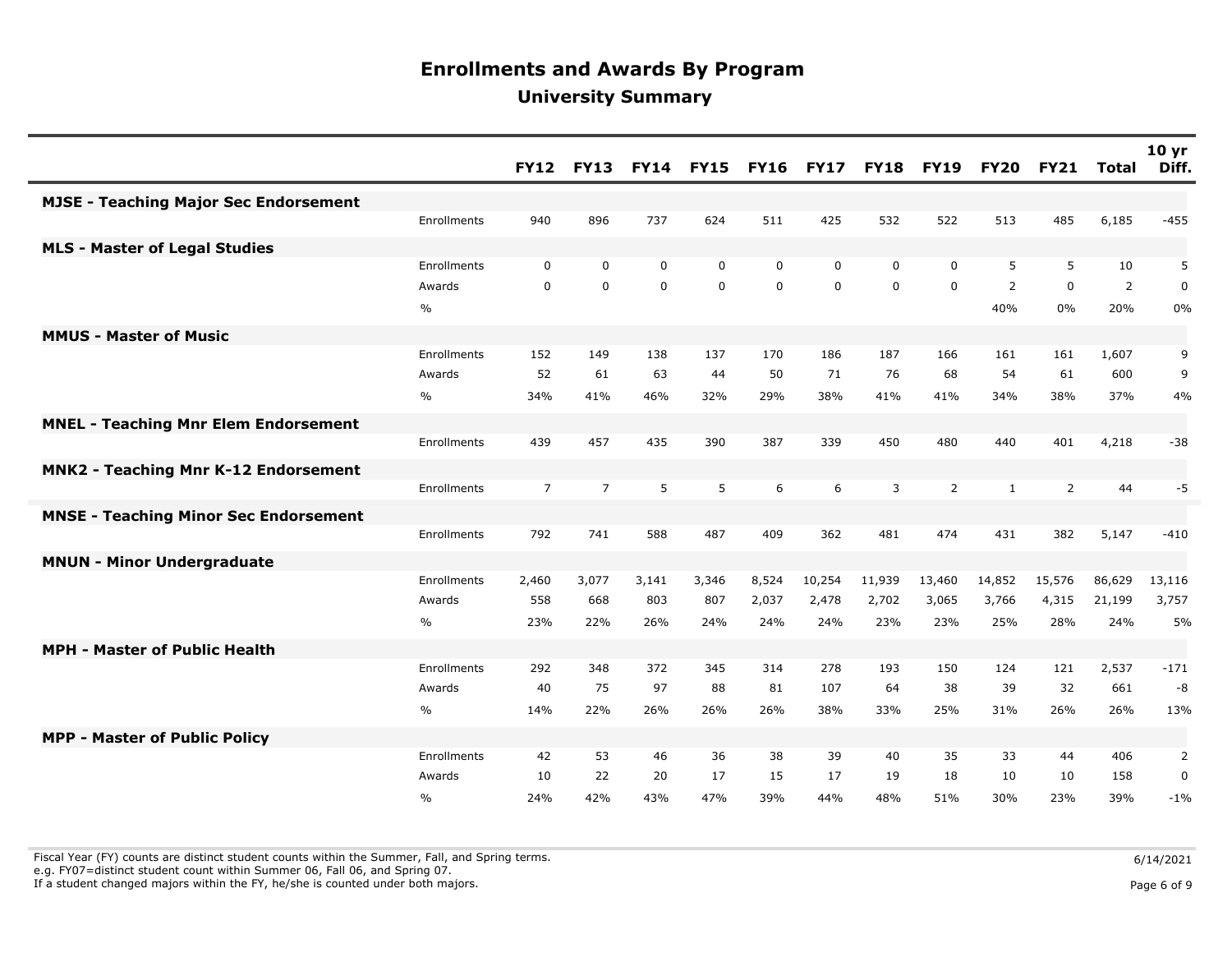|                                              |               | <b>FY12</b>    | <b>FY13</b>    | <b>FY14</b> | <b>FY15</b> | <b>FY16</b> | <b>FY17</b> | <b>FY18</b> | <b>FY19</b>    | <b>FY20</b>  | <b>FY21</b>    | <b>Total</b>   | 10 <sub>yr</sub><br>Diff. |
|----------------------------------------------|---------------|----------------|----------------|-------------|-------------|-------------|-------------|-------------|----------------|--------------|----------------|----------------|---------------------------|
| <b>MJSE - Teaching Major Sec Endorsement</b> |               |                |                |             |             |             |             |             |                |              |                |                |                           |
|                                              | Enrollments   | 940            | 896            | 737         | 624         | 511         | 425         | 532         | 522            | 513          | 485            | 6,185          | $-455$                    |
| <b>MLS - Master of Legal Studies</b>         |               |                |                |             |             |             |             |             |                |              |                |                |                           |
|                                              | Enrollments   | $\mathbf 0$    | $\mathbf 0$    | $\mathbf 0$ | $\mathbf 0$ | $\Omega$    | $\Omega$    | $\mathbf 0$ | $\mathbf{0}$   | 5            | 5              | 10             | 5                         |
|                                              | Awards        | $\mathbf 0$    | $\mathbf 0$    | $\mathbf 0$ | $\mathbf 0$ | $\mathbf 0$ | $\mathbf 0$ | $\mathbf 0$ | $\mathbf 0$    | 2            | $\mathbf 0$    | $\overline{2}$ | $\pmb{0}$                 |
|                                              | $\frac{0}{0}$ |                |                |             |             |             |             |             |                | 40%          | 0%             | 20%            | 0%                        |
| <b>MMUS - Master of Music</b>                |               |                |                |             |             |             |             |             |                |              |                |                |                           |
|                                              | Enrollments   | 152            | 149            | 138         | 137         | 170         | 186         | 187         | 166            | 161          | 161            | 1,607          | 9                         |
|                                              | Awards        | 52             | 61             | 63          | 44          | 50          | 71          | 76          | 68             | 54           | 61             | 600            | 9                         |
|                                              | $\%$          | 34%            | 41%            | 46%         | 32%         | 29%         | 38%         | 41%         | 41%            | 34%          | 38%            | 37%            | 4%                        |
| <b>MNEL - Teaching Mnr Elem Endorsement</b>  |               |                |                |             |             |             |             |             |                |              |                |                |                           |
|                                              | Enrollments   | 439            | 457            | 435         | 390         | 387         | 339         | 450         | 480            | 440          | 401            | 4,218          | $-38$                     |
| <b>MNK2 - Teaching Mnr K-12 Endorsement</b>  |               |                |                |             |             |             |             |             |                |              |                |                |                           |
|                                              | Enrollments   | $\overline{7}$ | $\overline{7}$ | 5           | 5           | 6           | 6           | 3           | $\overline{2}$ | $\mathbf{1}$ | $\overline{2}$ | 44             | $-5$                      |
| <b>MNSE - Teaching Minor Sec Endorsement</b> |               |                |                |             |             |             |             |             |                |              |                |                |                           |
|                                              | Enrollments   | 792            | 741            | 588         | 487         | 409         | 362         | 481         | 474            | 431          | 382            | 5,147          | $-410$                    |
| <b>MNUN - Minor Undergraduate</b>            |               |                |                |             |             |             |             |             |                |              |                |                |                           |
|                                              | Enrollments   | 2,460          | 3,077          | 3,141       | 3,346       | 8,524       | 10,254      | 11,939      | 13,460         | 14,852       | 15,576         | 86,629         | 13,116                    |
|                                              | Awards        | 558            | 668            | 803         | 807         | 2,037       | 2,478       | 2,702       | 3,065          | 3,766        | 4,315          | 21,199         | 3,757                     |
|                                              | $\%$          | 23%            | 22%            | 26%         | 24%         | 24%         | 24%         | 23%         | 23%            | 25%          | 28%            | 24%            | 5%                        |
| <b>MPH - Master of Public Health</b>         |               |                |                |             |             |             |             |             |                |              |                |                |                           |
|                                              | Enrollments   | 292            | 348            | 372         | 345         | 314         | 278         | 193         | 150            | 124          | 121            | 2,537          | $-171$                    |
|                                              | Awards        | 40             | 75             | 97          | 88          | 81          | 107         | 64          | 38             | 39           | 32             | 661            | -8                        |
|                                              | $\%$          | 14%            | 22%            | 26%         | 26%         | 26%         | 38%         | 33%         | 25%            | 31%          | 26%            | 26%            | 13%                       |
| <b>MPP - Master of Public Policy</b>         |               |                |                |             |             |             |             |             |                |              |                |                |                           |
|                                              | Enrollments   | 42             | 53             | 46          | 36          | 38          | 39          | 40          | 35             | 33           | 44             | 406            | 2                         |
|                                              | Awards        | 10             | 22             | 20          | 17          | 15          | 17          | 19          | 18             | 10           | 10             | 158            | $\pmb{0}$                 |
|                                              | $\%$          | 24%            | 42%            | 43%         | 47%         | 39%         | 44%         | 48%         | 51%            | 30%          | 23%            | 39%            | $-1%$                     |

Fiscal Year (FY) counts are distinct student counts within the Summer, Fall, and Spring terms.  $6/14/2021$ 

e.g. FY07=distinct student count within Summer 06, Fall 06, and Spring 07.

If a student changed majors within the FY, he/she is counted under both majors. Page 6 of 9

Page 6 of 9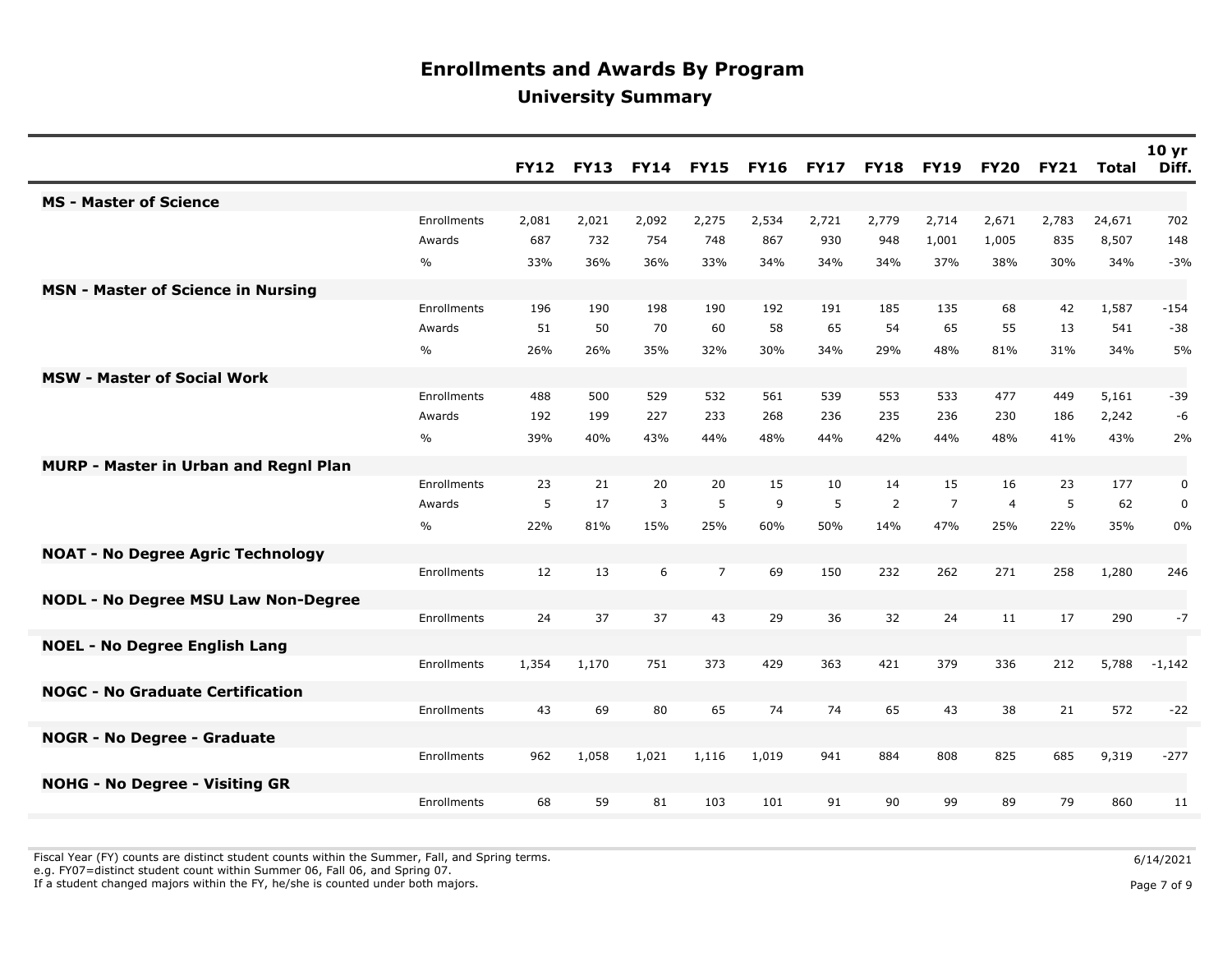|                                            |               | <b>FY12</b> | <b>FY13</b> | <b>FY14</b> | <b>FY15</b>    | <b>FY16</b> | <b>FY17</b> | <b>FY18</b> | <b>FY19</b>    | <b>FY20</b>    | <b>FY21</b> | <b>Total</b> | 10 <sub>yr</sub><br>Diff. |
|--------------------------------------------|---------------|-------------|-------------|-------------|----------------|-------------|-------------|-------------|----------------|----------------|-------------|--------------|---------------------------|
| <b>MS - Master of Science</b>              |               |             |             |             |                |             |             |             |                |                |             |              |                           |
|                                            | Enrollments   | 2,081       | 2,021       | 2,092       | 2,275          | 2,534       | 2,721       | 2,779       | 2,714          | 2,671          | 2,783       | 24,671       | 702                       |
|                                            | Awards        | 687         | 732         | 754         | 748            | 867         | 930         | 948         | 1,001          | 1,005          | 835         | 8,507        | 148                       |
|                                            | $\frac{0}{0}$ | 33%         | 36%         | 36%         | 33%            | 34%         | 34%         | 34%         | 37%            | 38%            | 30%         | 34%          | $-3%$                     |
| <b>MSN - Master of Science in Nursing</b>  |               |             |             |             |                |             |             |             |                |                |             |              |                           |
|                                            | Enrollments   | 196         | 190         | 198         | 190            | 192         | 191         | 185         | 135            | 68             | 42          | 1,587        | $-154$                    |
|                                            | Awards        | 51          | 50          | 70          | 60             | 58          | 65          | 54          | 65             | 55             | 13          | 541          | $-38$                     |
|                                            | $\frac{0}{0}$ | 26%         | 26%         | 35%         | 32%            | 30%         | 34%         | 29%         | 48%            | 81%            | 31%         | 34%          | 5%                        |
| <b>MSW - Master of Social Work</b>         |               |             |             |             |                |             |             |             |                |                |             |              |                           |
|                                            | Enrollments   | 488         | 500         | 529         | 532            | 561         | 539         | 553         | 533            | 477            | 449         | 5,161        | $-39$                     |
|                                            | Awards        | 192         | 199         | 227         | 233            | 268         | 236         | 235         | 236            | 230            | 186         | 2,242        | -6                        |
|                                            | $\frac{0}{0}$ | 39%         | 40%         | 43%         | 44%            | 48%         | 44%         | 42%         | 44%            | 48%            | 41%         | 43%          | 2%                        |
| MURP - Master in Urban and Regnl Plan      |               |             |             |             |                |             |             |             |                |                |             |              |                           |
|                                            | Enrollments   | 23          | 21          | 20          | 20             | 15          | 10          | 14          | 15             | 16             | 23          | 177          | 0                         |
|                                            | Awards        | 5           | 17          | 3           | 5              | 9           | 5           | 2           | $\overline{7}$ | $\overline{4}$ | 5           | 62           | $\pmb{0}$                 |
|                                            | $\%$          | 22%         | 81%         | 15%         | 25%            | 60%         | 50%         | 14%         | 47%            | 25%            | 22%         | 35%          | 0%                        |
| <b>NOAT - No Degree Agric Technology</b>   |               |             |             |             |                |             |             |             |                |                |             |              |                           |
|                                            | Enrollments   | 12          | 13          | 6           | $\overline{7}$ | 69          | 150         | 232         | 262            | 271            | 258         | 1,280        | 246                       |
| <b>NODL - No Degree MSU Law Non-Degree</b> |               |             |             |             |                |             |             |             |                |                |             |              |                           |
|                                            | Enrollments   | 24          | 37          | 37          | 43             | 29          | 36          | 32          | 24             | 11             | 17          | 290          | $-7$                      |
| <b>NOEL - No Degree English Lang</b>       |               |             |             |             |                |             |             |             |                |                |             |              |                           |
|                                            | Enrollments   | 1,354       | 1,170       | 751         | 373            | 429         | 363         | 421         | 379            | 336            | 212         | 5,788        | $-1,142$                  |
| <b>NOGC - No Graduate Certification</b>    |               |             |             |             |                |             |             |             |                |                |             |              |                           |
|                                            | Enrollments   | 43          | 69          | 80          | 65             | 74          | 74          | 65          | 43             | 38             | 21          | 572          | $-22$                     |
| <b>NOGR - No Degree - Graduate</b>         |               |             |             |             |                |             |             |             |                |                |             |              |                           |
|                                            | Enrollments   | 962         | 1,058       | 1,021       | 1,116          | 1,019       | 941         | 884         | 808            | 825            | 685         | 9,319        | $-277$                    |
| <b>NOHG - No Degree - Visiting GR</b>      |               |             |             |             |                |             |             |             |                |                |             |              |                           |
|                                            | Enrollments   | 68          | 59          | 81          | 103            | 101         | 91          | 90          | 99             | 89             | 79          | 860          | 11                        |

Fiscal Year (FY) counts are distinct student counts within the Summer, Fall, and Spring terms.<br>e.g. FY07=distinct student count within Summer 06, Fall 06, and Spring 07.

If a student changed majors within the FY, he/she is counted under both majors. Page 7 of 9 and the student student changed majors within the FY, he/she is counted under both majors.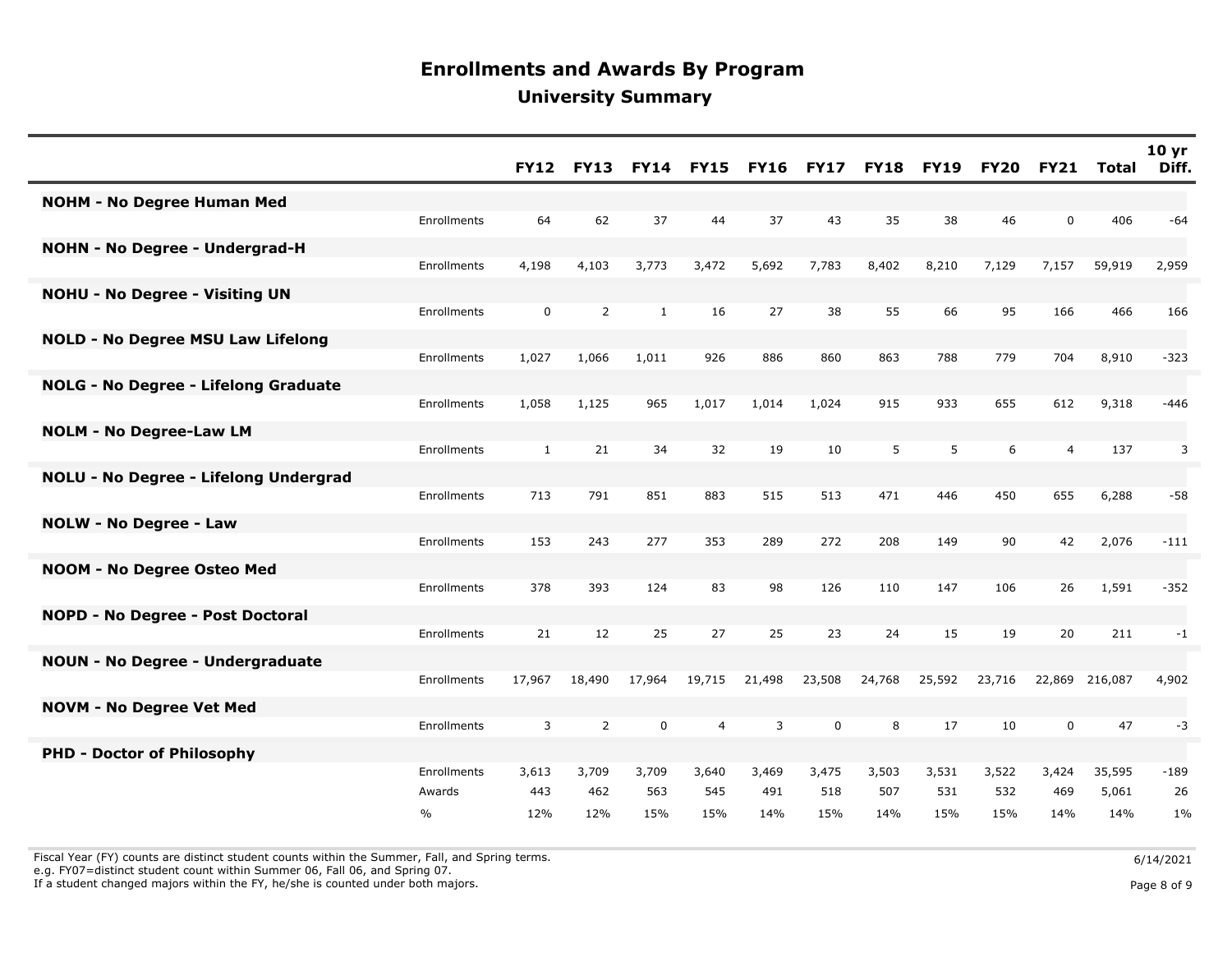|                                          |               | <b>FY12</b>  | <b>FY13</b>    | <b>FY14</b>  | <b>FY15</b> | <b>FY16</b> | <b>FY17</b> | <b>FY18</b> | <b>FY19</b> | <b>FY20</b> | <b>FY21</b>    | Total   | 10 <sub>yr</sub><br>Diff. |
|------------------------------------------|---------------|--------------|----------------|--------------|-------------|-------------|-------------|-------------|-------------|-------------|----------------|---------|---------------------------|
| <b>NOHM - No Degree Human Med</b>        |               |              |                |              |             |             |             |             |             |             |                |         |                           |
|                                          | Enrollments   | 64           | 62             | 37           | 44          | 37          | 43          | 35          | 38          | 46          | $\mathbf 0$    | 406     | $-64$                     |
| <b>NOHN - No Degree - Undergrad-H</b>    |               |              |                |              |             |             |             |             |             |             |                |         |                           |
|                                          | Enrollments   | 4,198        | 4,103          | 3,773        | 3,472       | 5,692       | 7,783       | 8,402       | 8,210       | 7,129       | 7,157          | 59,919  | 2,959                     |
| <b>NOHU - No Degree - Visiting UN</b>    | Enrollments   | 0            | $\overline{2}$ | $\mathbf{1}$ | 16          | 27          | 38          | 55          | 66          | 95          | 166            | 466     | 166                       |
|                                          |               |              |                |              |             |             |             |             |             |             |                |         |                           |
| <b>NOLD - No Degree MSU Law Lifelong</b> | Enrollments   | 1,027        | 1,066          | 1,011        | 926         | 886         | 860         | 863         | 788         | 779         | 704            | 8,910   | $-323$                    |
|                                          |               |              |                |              |             |             |             |             |             |             |                |         |                           |
| NOLG - No Degree - Lifelong Graduate     | Enrollments   | 1,058        | 1,125          | 965          | 1,017       | 1,014       | 1,024       | 915         | 933         | 655         | 612            | 9,318   | $-446$                    |
| <b>NOLM - No Degree-Law LM</b>           |               |              |                |              |             |             |             |             |             |             |                |         |                           |
|                                          | Enrollments   | $\mathbf{1}$ | 21             | 34           | 32          | 19          | 10          | 5           | 5           | 6           | $\overline{4}$ | 137     | 3                         |
| NOLU - No Degree - Lifelong Undergrad    |               |              |                |              |             |             |             |             |             |             |                |         |                           |
|                                          | Enrollments   | 713          | 791            | 851          | 883         | 515         | 513         | 471         | 446         | 450         | 655            | 6,288   | $-58$                     |
| <b>NOLW - No Degree - Law</b>            |               |              |                |              |             |             |             |             |             |             |                |         |                           |
|                                          | Enrollments   | 153          | 243            | 277          | 353         | 289         | 272         | 208         | 149         | 90          | 42             | 2,076   | $-111$                    |
| NOOM - No Degree Osteo Med               |               |              |                |              |             |             |             |             |             |             |                |         |                           |
|                                          | Enrollments   | 378          | 393            | 124          | 83          | 98          | 126         | 110         | 147         | 106         | 26             | 1,591   | $-352$                    |
| NOPD - No Degree - Post Doctoral         |               |              |                |              |             |             |             |             |             |             |                |         |                           |
|                                          | Enrollments   | 21           | 12             | 25           | 27          | 25          | 23          | 24          | 15          | 19          | 20             | 211     | $-1$                      |
| <b>NOUN - No Degree - Undergraduate</b>  | Enrollments   | 17,967       | 18,490         | 17,964       | 19,715      | 21,498      | 23,508      | 24,768      | 25,592      | 23,716      | 22,869         | 216,087 | 4,902                     |
|                                          |               |              |                |              |             |             |             |             |             |             |                |         |                           |
| <b>NOVM - No Degree Vet Med</b>          | Enrollments   | 3            | $\overline{2}$ | $\pmb{0}$    | 4           | 3           | $\mathbf 0$ | 8           | 17          | 10          | $\mathbf 0$    | 47      | $-3$                      |
| <b>PHD - Doctor of Philosophy</b>        |               |              |                |              |             |             |             |             |             |             |                |         |                           |
|                                          | Enrollments   | 3,613        | 3,709          | 3,709        | 3,640       | 3,469       | 3,475       | 3,503       | 3,531       | 3,522       | 3,424          | 35,595  | $-189$                    |
|                                          | Awards        | 443          | 462            | 563          | 545         | 491         | 518         | 507         | 531         | 532         | 469            | 5,061   | 26                        |
|                                          | $\frac{0}{0}$ | 12%          | 12%            | 15%          | 15%         | 14%         | 15%         | 14%         | 15%         | 15%         | 14%            | 14%     | 1%                        |

Fiscal Year (FY) counts are distinct student counts within the Summer, Fall, and Spring terms.<br>e.g. FY07=distinct student count within Summer 06, Fall 06, and Spring 07.

If a student changed majors within the FY, he/she is counted under both majors. Page 8 of 9 and the student student changed majors within the FY, he/she is counted under both majors.

Page 8 of 9